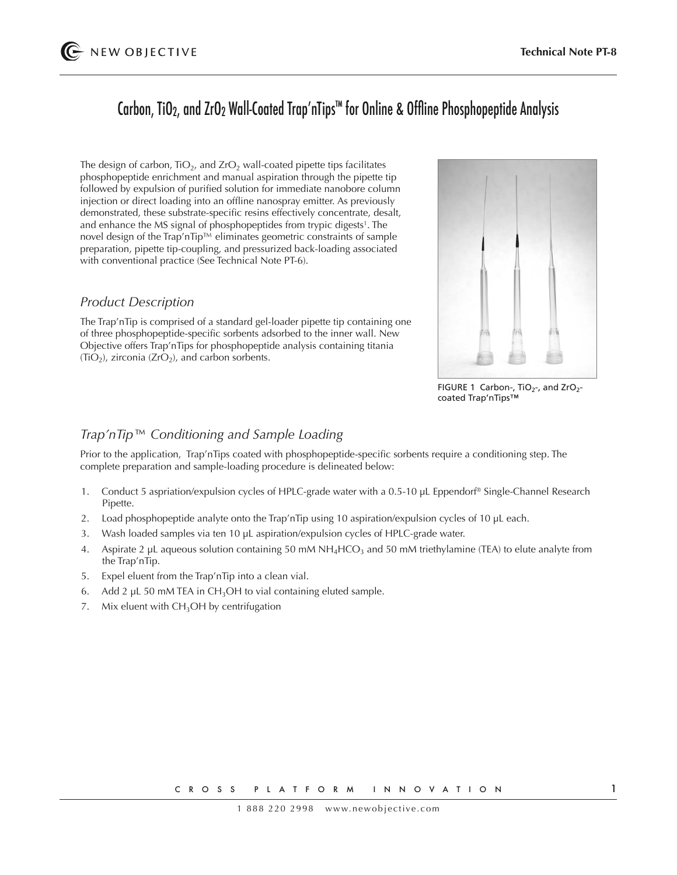# Carbon, TiO2, and ZrO2 Wall-Coated Trap'nTips™ for Online & Offline Phosphopeptide Analysis

The design of carbon,  $TiO<sub>2</sub>$ , and  $ZrO<sub>2</sub>$  wall-coated pipette tips facilitates phosphopeptide enrichment and manual aspiration through the pipette tip followed by expulsion of purified solution for immediate nanobore column injection or direct loading into an offline nanospray emitter. As previously demonstrated, these substrate-specific resins effectively concentrate, desalt, and enhance the MS signal of phosphopeptides from trypic digests<sup>1</sup>. The novel design of the Trap'nTip™ eliminates geometric constraints of sample preparation, pipette tip-coupling, and pressurized back-loading associated with conventional practice (See Technical Note PT-6).

#### *Product Description*

The Trap'nTip is comprised of a standard gel-loader pipette tip containing one of three phosphopeptide-specific sorbents adsorbed to the inner wall. New Objective offers Trap'nTips for phosphopeptide analysis containing titania  $(TIO<sub>2</sub>)$ , zirconia (ZrO<sub>2</sub>), and carbon sorbents.



FIGURE 1 Carbon-,  $TiO<sub>2</sub>$ -, and  $ZrO<sub>2</sub>$ coated Trap'nTips™

### *Trap'nTip™ Conditioning and Sample Loading*

Prior to the application, Trap'nTips coated with phosphopeptide-specific sorbents require a conditioning step. The complete preparation and sample-loading procedure is delineated below:

- 1. Conduct 5 aspriation/expulsion cycles of HPLC-grade water with a 0.5-10 µL Eppendorf® Single-Channel Research Pipette.
- 2. Load phosphopeptide analyte onto the Trap'nTip using 10 aspiration/expulsion cycles of 10 µL each.
- 3. Wash loaded samples via ten 10 µL aspiration/expulsion cycles of HPLC-grade water.
- 4. Aspirate 2 µL aqueous solution containing 50 mM  $NH_4HCO_3$  and 50 mM triethylamine (TEA) to elute analyte from the Trap'nTip.
- 5. Expel eluent from the Trap'nTip into a clean vial.
- 6. Add 2  $\mu$ L 50 mM TEA in CH<sub>3</sub>OH to vial containing eluted sample.
- 7. Mix eluent with  $CH<sub>3</sub>OH$  by centrifugation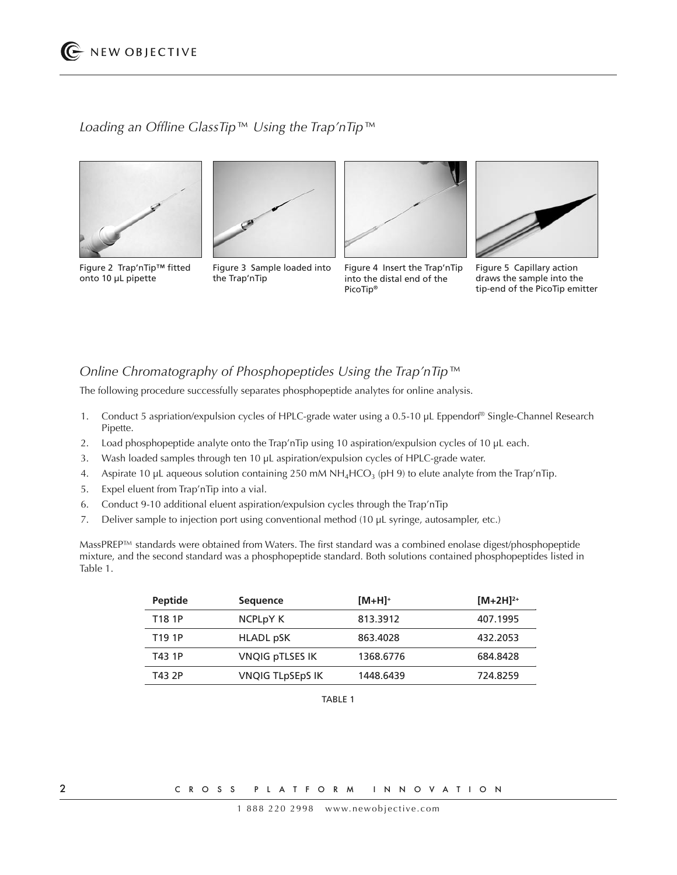## *Loading an Offline GlassTip™ Using the Trap'nTip™*



onto 10 µL pipette



Figure 3 Sample loaded into

Figure 4 Insert the Trap'nTip into the distal end of the PicoTip®



Figure 5 Capillary action draws the sample into the tip-end of the PicoTip emitter

the Trap'nTip

The following procedure successfully separates phosphopeptide analytes for online analysis.

*Online Chromatography of Phosphopeptides Using the Trap'nTip™* 

- 1. Conduct 5 aspriation/expulsion cycles of HPLC-grade water using a 0.5-10 µL Eppendorf® Single-Channel Research Pipette.
- 2. Load phosphopeptide analyte onto the Trap'nTip using 10 aspiration/expulsion cycles of 10 µL each.
- 3. Wash loaded samples through ten 10 µL aspiration/expulsion cycles of HPLC-grade water.
- 4. Aspirate 10 µL aqueous solution containing 250 mM NH<sub>4</sub>HCO<sub>3</sub> (pH 9) to elute analyte from the Trap'nTip.
- 5. Expel eluent from Trap'nTip into a vial.
- 6. Conduct 9-10 additional eluent aspiration/expulsion cycles through the Trap'nTip
- 7. Deliver sample to injection port using conventional method (10 µL syringe, autosampler, etc.)

MassPREP™ standards were obtained from Waters. The first standard was a combined enolase digest/phosphopeptide mixture, and the second standard was a phosphopeptide standard. Both solutions contained phosphopeptides listed in Table 1.

| <b>Peptide</b>     | <b>Sequence</b>                  | $[M+H]^+$ | $[M+2H]^{2+}$ |
|--------------------|----------------------------------|-----------|---------------|
| T <sub>18</sub> 1P | NCPL <sub>p</sub> Y <sub>K</sub> | 813.3912  | 407.1995      |
| T19 1P             | HLADL pSK                        | 863.4028  | 432.2053      |
| T43 1P             | VNQIG pTLSES IK                  | 1368.6776 | 684.8428      |
| T43 2P             | VNQIG TLpSEpS IK                 | 1448.6439 | 724.8259      |

TABLE 1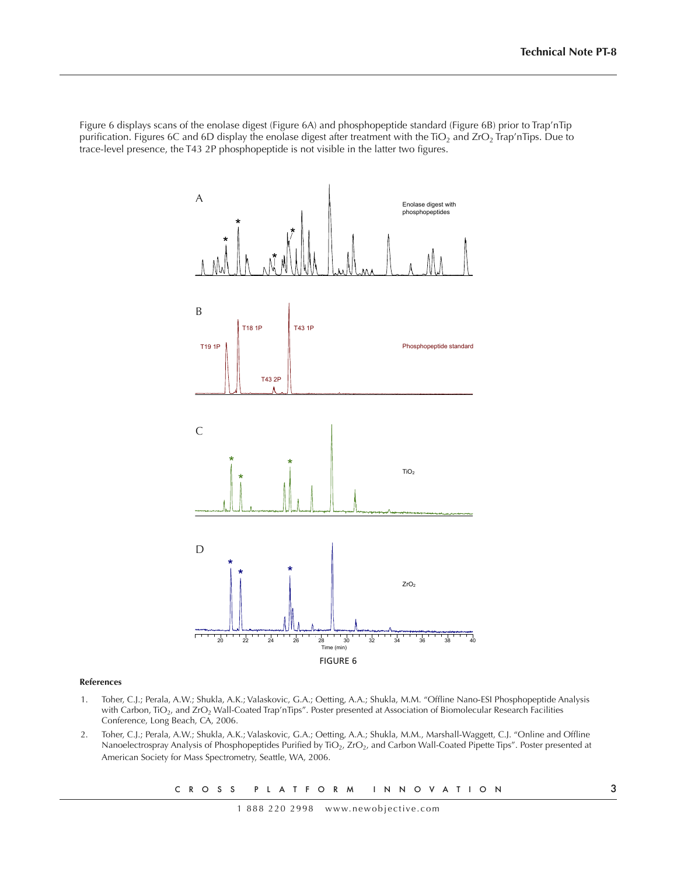Figure 6 displays scans of the enolase digest (Figure 6A) and phosphopeptide standard (Figure 6B) prior to Trap'nTip purification. Figures 6C and 6D display the enolase digest after treatment with the  $TiO<sub>2</sub>$  and  $ZrO<sub>2</sub>$  Trap'nTips. Due to trace-level presence, the T43 2P phosphopeptide is not visible in the latter two figures.



#### **References**

- 1. Toher, C.J.; Perala, A.W.; Shukla, A.K.; Valaskovic, G.A.; Oetting, A.A.; Shukla, M.M. "Offline Nano-ESI Phosphopeptide Analysis with Carbon, TiO<sub>2</sub>, and ZrO<sub>2</sub> Wall-Coated Trap'nTips". Poster presented at Association of Biomolecular Research Facilities Conference, Long Beach, CA, 2006.
- 2. Toher, C.J.; Perala, A.W.; Shukla, A.K.; Valaskovic, G.A.; Oetting, A.A.; Shukla, M.M., Marshall-Waggett, C.J. "Online and Offline Nanoelectrospray Analysis of Phosphopeptides Purified by TiO<sub>2</sub>, ZrO<sub>2</sub>, and Carbon Wall-Coated Pipette Tips". Poster presented at American Society for Mass Spectrometry, Seattle, WA, 2006.

C R O S S P L A T F O R M I N N O V A T I O N